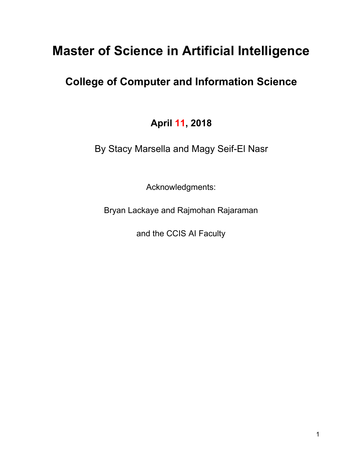# **Master of Science in Artificial Intelligence**

## **College of Computer and Information Science**

### **April 11, 2018**

By Stacy Marsella and Magy Seif-El Nasr

Acknowledgments:

Bryan Lackaye and Rajmohan Rajaraman

and the CCIS AI Faculty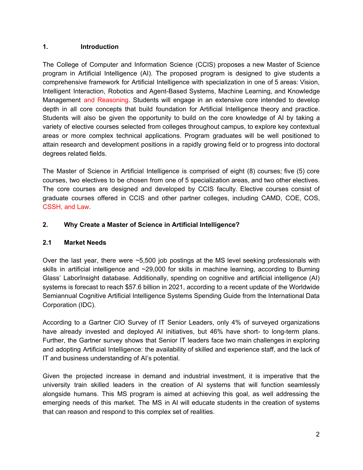#### **1. Introduction**

The College of Computer and Information Science (CCIS) proposes a new Master of Science program in Artificial Intelligence (AI). The proposed program is designed to give students a comprehensive framework for Artificial Intelligence with specialization in one of 5 areas: Vision, Intelligent Interaction, Robotics and Agent-Based Systems, Machine Learning, and Knowledge Management and Reasoning. Students will engage in an extensive core intended to develop depth in all core concepts that build foundation for Artificial Intelligence theory and practice. Students will also be given the opportunity to build on the core knowledge of AI by taking a variety of elective courses selected from colleges throughout campus, to explore key contextual areas or more complex technical applications. Program graduates will be well positioned to attain research and development positions in a rapidly growing field or to progress into doctoral degrees related fields.

The Master of Science in Artificial Intelligence is comprised of eight (8) courses; five (5) core courses, two electives to be chosen from one of 5 specialization areas, and two other electives. The core courses are designed and developed by CCIS faculty. Elective courses consist of graduate courses offered in CCIS and other partner colleges, including CAMD, COE, COS, CSSH, and Law.

#### **2. Why Create a Master of Science in Artificial Intelligence?**

#### **2.1 Market Needs**

Over the last year, there were ~5,500 job postings at the MS level seeking professionals with skills in artificial intelligence and ~29,000 for skills in machine learning, according to Burning Glass' LaborInsight database. Additionally, spending on cognitive and artificial intelligence (AI) systems is forecast to reach \$57.6 billion in 2021, according to a recent update of the Worldwide Semiannual Cognitive Artificial Intelligence Systems Spending Guide from the International Data Corporation (IDC).

According to a Gartner CIO Survey of IT Senior Leaders, only 4% of surveyed organizations have already invested and deployed AI initiatives, but 46% have short- to long-term plans. Further, the Gartner survey shows that Senior IT leaders face two main challenges in exploring and adopting Artificial Intelligence: the availability of skilled and experience staff, and the lack of IT and business understanding of AI's potential.

Given the projected increase in demand and industrial investment, it is imperative that the university train skilled leaders in the creation of AI systems that will function seamlessly alongside humans. This MS program is aimed at achieving this goal, as well addressing the emerging needs of this market. The MS in AI will educate students in the creation of systems that can reason and respond to this complex set of realities.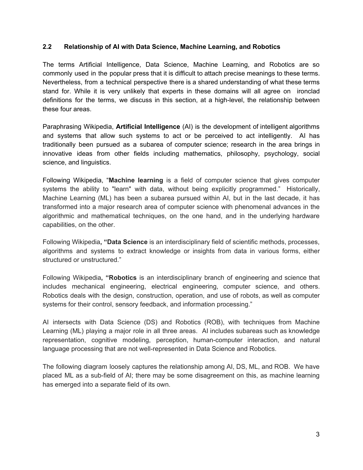#### **2.2 Relationship of AI with Data Science, Machine Learning, and Robotics**

The terms Artificial Intelligence, Data Science, Machine Learning, and Robotics are so commonly used in the popular press that it is difficult to attach precise meanings to these terms. Nevertheless, from a technical perspective there is a shared understanding of what these terms stand for. While it is very unlikely that experts in these domains will all agree on ironclad definitions for the terms, we discuss in this section, at a high-level, the relationship between these four areas.

Paraphrasing Wikipedia, **Artificial Intelligence** (AI) is the development of intelligent algorithms and systems that allow such systems to act or be perceived to act intelligently. AI has traditionally been pursued as a subarea of computer science; research in the area brings in innovative ideas from other fields including mathematics, philosophy, psychology, social science, and linguistics.

Following Wikipedia, "**Machine learning** is a field of computer science that gives computer systems the ability to "learn" with data, without being explicitly programmed." Historically, Machine Learning (ML) has been a subarea pursued within AI, but in the last decade, it has transformed into a major research area of computer science with phenomenal advances in the algorithmic and mathematical techniques, on the one hand, and in the underlying hardware capabilities, on the other.

Following Wikipedia**, "Data Science** is an interdisciplinary field of scientific methods, processes, algorithms and systems to extract knowledge or insights from data in various forms, either structured or unstructured."

Following Wikipedia**, "Robotics** is an interdisciplinary branch of engineering and science that includes mechanical engineering, electrical engineering, computer science, and others. Robotics deals with the design, construction, operation, and use of robots, as well as computer systems for their control, sensory feedback, and information processing."

AI intersects with Data Science (DS) and Robotics (ROB), with techniques from Machine Learning (ML) playing a major role in all three areas. AI includes subareas such as knowledge representation, cognitive modeling, perception, human-computer interaction, and natural language processing that are not well-represented in Data Science and Robotics.

The following diagram loosely captures the relationship among AI, DS, ML, and ROB. We have placed ML as a sub-field of AI; there may be some disagreement on this, as machine learning has emerged into a separate field of its own.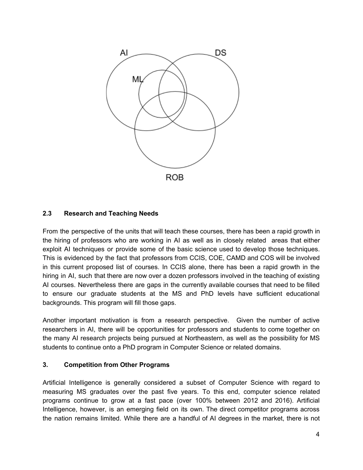

#### **2.3 Research and Teaching Needs**

From the perspective of the units that will teach these courses, there has been a rapid growth in the hiring of professors who are working in AI as well as in closely related areas that either exploit AI techniques or provide some of the basic science used to develop those techniques. This is evidenced by the fact that professors from CCIS, COE, CAMD and COS will be involved in this current proposed list of courses. In CCIS alone, there has been a rapid growth in the hiring in AI, such that there are now over a dozen professors involved in the teaching of existing AI courses. Nevertheless there are gaps in the currently available courses that need to be filled to ensure our graduate students at the MS and PhD levels have sufficient educational backgrounds. This program will fill those gaps.

Another important motivation is from a research perspective. Given the number of active researchers in AI, there will be opportunities for professors and students to come together on the many AI research projects being pursued at Northeastern, as well as the possibility for MS students to continue onto a PhD program in Computer Science or related domains.

#### **3. Competition from Other Programs**

Artificial Intelligence is generally considered a subset of Computer Science with regard to measuring MS graduates over the past five years. To this end, computer science related programs continue to grow at a fast pace (over 100% between 2012 and 2016). Artificial Intelligence, however, is an emerging field on its own. The direct competitor programs across the nation remains limited. While there are a handful of AI degrees in the market, there is not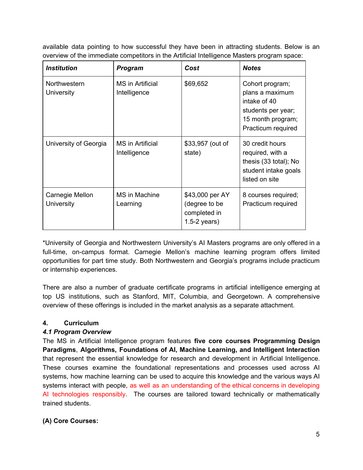available data pointing to how successful they have been in attracting students. Below is an overview of the immediate competitors in the Artificial Intelligence Masters program space:

| <b>Institution</b>            | <b>Program</b>                          | Cost                                                               | <b>Notes</b>                                                                                                        |
|-------------------------------|-----------------------------------------|--------------------------------------------------------------------|---------------------------------------------------------------------------------------------------------------------|
| Northwestern<br>University    | MS in Artificial<br>Intelligence        | \$69,652                                                           | Cohort program;<br>plans a maximum<br>intake of 40<br>students per year;<br>15 month program;<br>Practicum required |
| University of Georgia         | <b>MS</b> in Artificial<br>Intelligence | \$33,957 (out of<br>state)                                         | 30 credit hours<br>required, with a<br>thesis (33 total); No<br>student intake goals<br>listed on site              |
| Carnegie Mellon<br>University | MS in Machine<br>Learning               | \$43,000 per AY<br>(degree to be<br>completed in<br>$1.5-2$ years) | 8 courses required;<br>Practicum required                                                                           |

\*University of Georgia and Northwestern University's AI Masters programs are only offered in a full-time, on-campus format. Carnegie Mellon's machine learning program offers limited opportunities for part time study. Both Northwestern and Georgia's programs include practicum or internship experiences.

There are also a number of graduate certificate programs in artificial intelligence emerging at top US institutions, such as Stanford, MIT, Columbia, and Georgetown. A comprehensive overview of these offerings is included in the market analysis as a separate attachment.

#### **4. Curriculum**

#### *4.1 Program Overview*

The MS in Artificial Intelligence program features **five core courses Programming Design Paradigms**, **Algorithms, Foundations of AI, Machine Learning, and Intelligent Interaction** that represent the essential knowledge for research and development in Artificial Intelligence. These courses examine the foundational representations and processes used across AI systems, how machine learning can be used to acquire this knowledge and the various ways AI systems interact with people, as well as an understanding of the ethical concerns in developing AI technologies responsibly. The courses are tailored toward technically or mathematically trained students.

#### **(A) Core Courses:**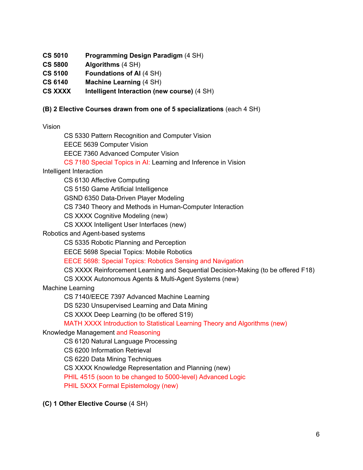- **CS 5010 Programming Design Paradigm** (4 SH)
- **CS 5800 Algorithms** (4 SH)
- **CS 5100 Foundations of AI** (4 SH)
- **CS 6140 Machine Learning** (4 SH)
- **Intelligent Interaction (new course)** (4 SH)

#### **(B) 2 Elective Courses drawn from one of 5 specializations** (each 4 SH)

Vision

CS 5330 Pattern Recognition and Computer Vision EECE 5639 Computer Vision EECE 7360 Advanced Computer Vision

CS 7180 Special Topics in AI: Learning and Inference in Vision

#### Intelligent Interaction

CS 6130 Affective Computing

CS 5150 Game Artificial Intelligence

GSND 6350 Data-Driven Player Modeling

CS 7340 Theory and Methods in Human-Computer Interaction

CS XXXX Cognitive Modeling (new)

CS XXXX Intelligent User Interfaces (new)

Robotics and Agent-based systems

CS 5335 Robotic Planning and Perception

EECE 5698 Special Topics: Mobile Robotics

EECE 5698: Special Topics: Robotics Sensing and Navigation

CS XXXX Reinforcement Learning and Sequential Decision-Making (to be offered F18)

CS XXXX Autonomous Agents & Multi-Agent Systems (new)

Machine Learning

CS 7140/EECE 7397 Advanced Machine Learning

DS 5230 Unsupervised Learning and Data Mining

CS XXXX Deep Learning (to be offered S19)

MATH XXXX Introduction to Statistical Learning Theory and Algorithms (new)

#### Knowledge Management and Reasoning

CS 6120 Natural Language Processing

CS 6200 Information Retrieval

CS 6220 Data Mining Techniques

CS XXXX Knowledge Representation and Planning (new)

PHIL 4515 (soon to be changed to 5000-level) Advanced Logic

PHIL 5XXX Formal Epistemology (new)

#### **(C) 1 Other Elective Course** (4 SH)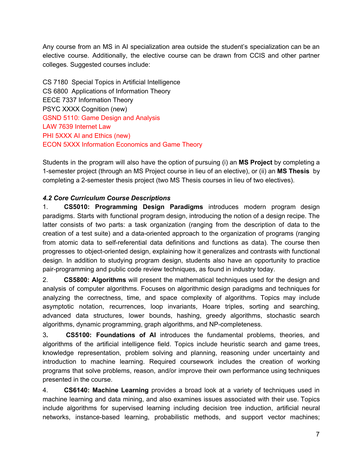Any course from an MS in AI specialization area outside the student's specialization can be an elective course. Additionally, the elective course can be drawn from CCIS and other partner colleges. Suggested courses include:

CS 7180 Special Topics in Artificial Intelligence CS 6800 Applications of Information Theory EECE 7337 Information Theory PSYC XXXX Cognition (new) GSND 5110: Game Design and Analysis LAW 7639 Internet Law PHI 5XXX AI and Ethics (new) ECON 5XXX Information Economics and Game Theory

Students in the program will also have the option of pursuing (i) an **MS Project** by completing a 1-semester project (through an MS Project course in lieu of an elective), or (ii) an **MS Thesis** by completing a 2-semester thesis project (two MS Thesis courses in lieu of two electives).

#### *4.2 Core Curriculum Course Descriptions*

1. **CS5010: Programming Design Paradigms** introduces modern program design paradigms. Starts with functional program design, introducing the notion of a design recipe. The latter consists of two parts: a task organization (ranging from the description of data to the creation of a test suite) and a data-oriented approach to the organization of programs (ranging from atomic data to self-referential data definitions and functions as data). The course then progresses to object-oriented design, explaining how it generalizes and contrasts with functional design. In addition to studying program design, students also have an opportunity to practice pair-programming and public code review techniques, as found in industry today.

2. **CS5800: Algorithms** will present the mathematical techniques used for the design and analysis of computer algorithms. Focuses on algorithmic design paradigms and techniques for analyzing the correctness, time, and space complexity of algorithms. Topics may include asymptotic notation, recurrences, loop invariants, Hoare triples, sorting and searching, advanced data structures, lower bounds, hashing, greedy algorithms, stochastic search algorithms, dynamic programming, graph algorithms, and NP-completeness.

3**. CS5100: Foundations of AI** introduces the fundamental problems, theories, and algorithms of the artificial intelligence field. Topics include heuristic search and game trees, knowledge representation, problem solving and planning, reasoning under uncertainty and introduction to machine learning. Required coursework includes the creation of working programs that solve problems, reason, and/or improve their own performance using techniques presented in the course.

4. **CS6140: Machine Learning** provides a broad look at a variety of techniques used in machine learning and data mining, and also examines issues associated with their use. Topics include algorithms for supervised learning including decision tree induction, artificial neural networks, instance-based learning, probabilistic methods, and support vector machines;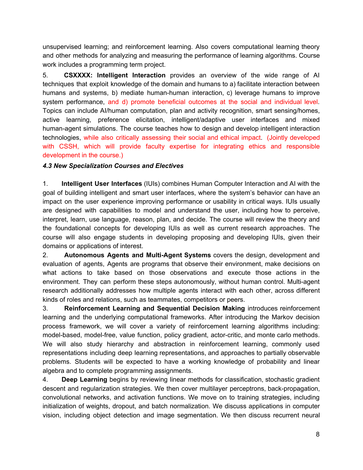unsupervised learning; and reinforcement learning. Also covers computational learning theory and other methods for analyzing and measuring the performance of learning algorithms. Course work includes a programming term project.

5. **CSXXXX: Intelligent Interaction** provides an overview of the wide range of AI techniques that exploit knowledge of the domain and humans to a) facilitate interaction between humans and systems, b) mediate human-human interaction, c) leverage humans to improve system performance, and d) promote beneficial outcomes at the social and individual level. Topics can include AI/human computation, plan and activity recognition, smart sensing/homes, active learning, preference elicitation, intelligent/adaptive user interfaces and mixed human-agent simulations. The course teaches how to design and develop intelligent interaction technologies, while also critically assessing their social and ethical impact. (Jointly developed with CSSH, which will provide faculty expertise for integrating ethics and responsible development in the course.)

#### *4.3 New Specialization Courses and Electives*

1. **Intelligent User Interfaces** (IUIs) combines Human Computer Interaction and AI with the goal of building intelligent and smart user interfaces, where the system's behavior can have an impact on the user experience improving performance or usability in critical ways. IUIs usually are designed with capabilities to model and understand the user, including how to perceive, interpret, learn, use language, reason, plan, and decide. The course will review the theory and the foundational concepts for developing IUIs as well as current research approaches. The course will also engage students in developing proposing and developing IUIs, given their domains or applications of interest.

2. **Autonomous Agents and Multi-Agent Systems** covers the design, development and evaluation of agents, Agents are programs that observe their environment, make decisions on what actions to take based on those observations and execute those actions in the environment. They can perform these steps autonomously, without human control. Multi-agent research additionally addresses how multiple agents interact with each other, across different kinds of roles and relations, such as teammates, competitors or peers.

3. **Reinforcement Learning and Sequential Decision Making** introduces reinforcement learning and the underlying computational frameworks. After introducing the Markov decision process framework, we will cover a variety of reinforcement learning algorithms including: model-based, model-free, value function, policy gradient, actor-critic, and monte carlo methods. We will also study hierarchy and abstraction in reinforcement learning, commonly used representations including deep learning representations, and approaches to partially observable problems. Students will be expected to have a working knowledge of probability and linear algebra and to complete programming assignments.

4. **Deep Learning** begins by reviewing linear methods for classification, stochastic gradient descent and regularization strategies. We then cover multilayer perceptrons, back-propagation, convolutional networks, and activation functions. We move on to training strategies, including initialization of weights, dropout, and batch normalization. We discuss applications in computer vision, including object detection and image segmentation. We then discuss recurrent neural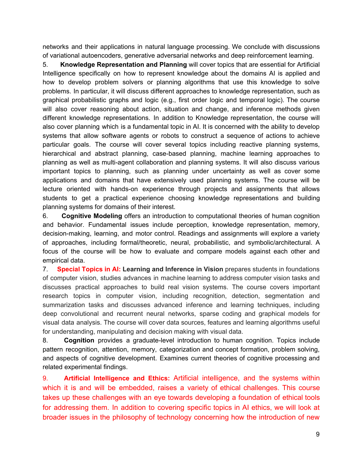networks and their applications in natural language processing. We conclude with discussions of variational autoencoders, generative adversarial networks and deep reinforcement learning.

5. **Knowledge Representation and Planning** will cover topics that are essential for Artificial Intelligence specifically on how to represent knowledge about the domains AI is applied and how to develop problem solvers or planning algorithms that use this knowledge to solve problems. In particular, it will discuss different approaches to knowledge representation, such as graphical probabilistic graphs and logic (e.g., first order logic and temporal logic). The course will also cover reasoning about action, situation and change, and inference methods given different knowledge representations. In addition to Knowledge representation, the course will also cover planning which is a fundamental topic in AI. It is concerned with the ability to develop systems that allow software agents or robots to construct a sequence of actions to achieve particular goals. The course will cover several topics including reactive planning systems, hierarchical and abstract planning, case-based planning, machine learning approaches to planning as well as multi-agent collaboration and planning systems. It will also discuss various important topics to planning, such as planning under uncertainty as well as cover some applications and domains that have extensively used planning systems. The course will be lecture oriented with hands-on experience through projects and assignments that allows students to get a practical experience choosing knowledge representations and building planning systems for domains of their interest.

6. **Cognitive Modeling** offers an introduction to computational theories of human cognition and behavior. Fundamental issues include perception, knowledge representation, memory, decision-making, learning, and motor control. Readings and assignments will explore a variety of approaches, including formal/theoretic, neural, probabilistic, and symbolic/architectural. A focus of the course will be how to evaluate and compare models against each other and empirical data.

7. **Special Topics in AI: Learning and Inference in Vision** prepares students in foundations of computer vision, studies advances in machine learning to address computer vision tasks and discusses practical approaches to build real vision systems. The course covers important research topics in computer vision, including recognition, detection, segmentation and summarization tasks and discusses advanced inference and learning techniques, including deep convolutional and recurrent neural networks, sparse coding and graphical models for visual data analysis. The course will cover data sources, features and learning algorithms useful for understanding, manipulating and decision making with visual data.

8. **Cognition** provides a graduate-level introduction to human cognition. Topics include pattern recognition, attention, memory, categorization and concept formation, problem solving, and aspects of cognitive development. Examines current theories of cognitive processing and related experimental findings.

9. **Artificial Intelligence and Ethics:** Artificial intelligence, and the systems within which it is and will be embedded, raises a variety of ethical challenges. This course takes up these challenges with an eye towards developing a foundation of ethical tools for addressing them. In addition to covering specific topics in AI ethics, we will look at broader issues in the philosophy of technology concerning how the introduction of new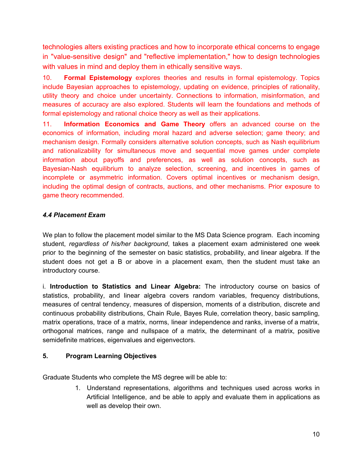technologies alters existing practices and how to incorporate ethical concerns to engage in "value-sensitive design" and "reflective implementation," how to design technologies with values in mind and deploy them in ethically sensitive ways.

10. **Formal Epistemology** explores theories and results in formal epistemology. Topics include Bayesian approaches to epistemology, updating on evidence, principles of rationality, utility theory and choice under uncertainty. Connections to information, misinformation, and measures of accuracy are also explored. Students will learn the foundations and methods of formal epistemology and rational choice theory as well as their applications.

11. **Information Economics and Game Theory** offers an advanced course on the economics of information, including moral hazard and adverse selection; game theory; and mechanism design. Formally considers alternative solution concepts, such as Nash equilibrium and rationalizability for simultaneous move and sequential move games under complete information about payoffs and preferences, as well as solution concepts, such as Bayesian-Nash equilibrium to analyze selection, screening, and incentives in games of incomplete or asymmetric information. Covers optimal incentives or mechanism design, including the optimal design of contracts, auctions, and other mechanisms. Prior exposure to game theory recommended.

#### *4.4 Placement Exam*

We plan to follow the placement model similar to the MS Data Science program. Each incoming student, *regardless of his/her background*, takes a placement exam administered one week prior to the beginning of the semester on basic statistics, probability, and linear algebra. If the student does not get a B or above in a placement exam, then the student must take an introductory course.

i. **Introduction to Statistics and Linear Algebra:** The introductory course on basics of statistics, probability, and linear algebra covers random variables, frequency distributions, measures of central tendency, measures of dispersion, moments of a distribution, discrete and continuous probability distributions, Chain Rule, Bayes Rule, correlation theory, basic sampling, matrix operations, trace of a matrix, norms, linear independence and ranks, inverse of a matrix, orthogonal matrices, range and nullspace of a matrix, the determinant of a matrix, positive semidefinite matrices, eigenvalues and eigenvectors.

#### **5. Program Learning Objectives**

Graduate Students who complete the MS degree will be able to:

1. Understand representations, algorithms and techniques used across works in Artificial Intelligence, and be able to apply and evaluate them in applications as well as develop their own.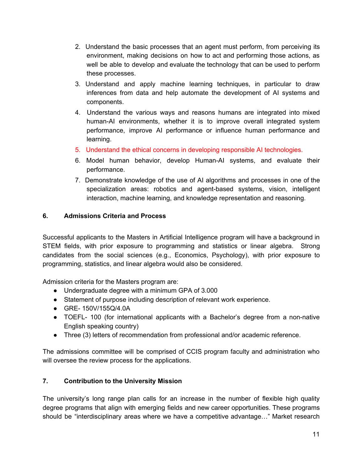- 2. Understand the basic processes that an agent must perform, from perceiving its environment, making decisions on how to act and performing those actions, as well be able to develop and evaluate the technology that can be used to perform these processes.
- 3. Understand and apply machine learning techniques, in particular to draw inferences from data and help automate the development of AI systems and components.
- 4. Understand the various ways and reasons humans are integrated into mixed human-AI environments, whether it is to improve overall integrated system performance, improve AI performance or influence human performance and learning.
- 5. Understand the ethical concerns in developing responsible AI technologies.
- 6. Model human behavior, develop Human-AI systems, and evaluate their performance.
- 7. Demonstrate knowledge of the use of AI algorithms and processes in one of the specialization areas: robotics and agent-based systems, vision, intelligent interaction, machine learning, and knowledge representation and reasoning.

#### **6. Admissions Criteria and Process**

Successful applicants to the Masters in Artificial Intelligence program will have a background in STEM fields, with prior exposure to programming and statistics or linear algebra. Strong candidates from the social sciences (e.g., Economics, Psychology), with prior exposure to programming, statistics, and linear algebra would also be considered.

Admission criteria for the Masters program are:

- Undergraduate degree with a minimum GPA of 3.000
- Statement of purpose including description of relevant work experience.
- GRE- 150V/155Q/4.0A
- TOEFL- 100 (for international applicants with a Bachelor's degree from a non-native English speaking country)
- Three (3) letters of recommendation from professional and/or academic reference.

The admissions committee will be comprised of CCIS program faculty and administration who will oversee the review process for the applications.

#### **7. Contribution to the University Mission**

The university's long range plan calls for an increase in the number of flexible high quality degree programs that align with emerging fields and new career opportunities. These programs should be "interdisciplinary areas where we have a competitive advantage…" Market research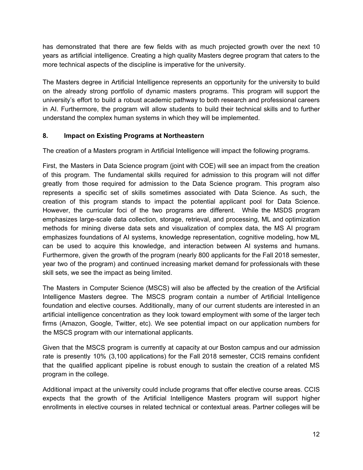has demonstrated that there are few fields with as much projected growth over the next 10 years as artificial intelligence. Creating a high quality Masters degree program that caters to the more technical aspects of the discipline is imperative for the university.

The Masters degree in Artificial Intelligence represents an opportunity for the university to build on the already strong portfolio of dynamic masters programs. This program will support the university's effort to build a robust academic pathway to both research and professional careers in AI. Furthermore, the program will allow students to build their technical skills and to further understand the complex human systems in which they will be implemented.

#### **8. Impact on Existing Programs at Northeastern**

The creation of a Masters program in Artificial Intelligence will impact the following programs.

First, the Masters in Data Science program (joint with COE) will see an impact from the creation of this program. The fundamental skills required for admission to this program will not differ greatly from those required for admission to the Data Science program. This program also represents a specific set of skills sometimes associated with Data Science. As such, the creation of this program stands to impact the potential applicant pool for Data Science. However, the curricular foci of the two programs are different. While the MSDS program emphasizes large-scale data collection, storage, retrieval, and processing, ML and optimization methods for mining diverse data sets and visualization of complex data, the MS AI program emphasizes foundations of AI systems, knowledge representation, cognitive modeling, how ML can be used to acquire this knowledge, and interaction between AI systems and humans. Furthermore, given the growth of the program (nearly 800 applicants for the Fall 2018 semester, year two of the program) and continued increasing market demand for professionals with these skill sets, we see the impact as being limited.

The Masters in Computer Science (MSCS) will also be affected by the creation of the Artificial Intelligence Masters degree. The MSCS program contain a number of Artificial Intelligence foundation and elective courses. Additionally, many of our current students are interested in an artificial intelligence concentration as they look toward employment with some of the larger tech firms (Amazon, Google, Twitter, etc). We see potential impact on our application numbers for the MSCS program with our international applicants.

Given that the MSCS program is currently at capacity at our Boston campus and our admission rate is presently 10% (3,100 applications) for the Fall 2018 semester, CCIS remains confident that the qualified applicant pipeline is robust enough to sustain the creation of a related MS program in the college.

Additional impact at the university could include programs that offer elective course areas. CCIS expects that the growth of the Artificial Intelligence Masters program will support higher enrollments in elective courses in related technical or contextual areas. Partner colleges will be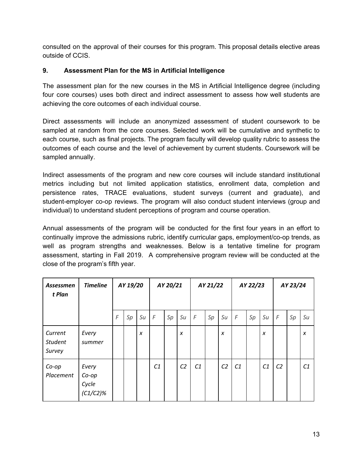consulted on the approval of their courses for this program. This proposal details elective areas outside of CCIS.

#### **9. Assessment Plan for the MS in Artificial Intelligence**

The assessment plan for the new courses in the MS in Artificial Intelligence degree (including four core courses) uses both direct and indirect assessment to assess how well students are achieving the core outcomes of each individual course.

Direct assessments will include an anonymized assessment of student coursework to be sampled at random from the core courses. Selected work will be cumulative and synthetic to each course, such as final projects. The program faculty will develop quality rubric to assess the outcomes of each course and the level of achievement by current students. Coursework will be sampled annually.

Indirect assessments of the program and new core courses will include standard institutional metrics including but not limited application statistics, enrollment data, completion and persistence rates, TRACE evaluations, student surveys (current and graduate), and student-employer co-op reviews. The program will also conduct student interviews (group and individual) to understand student perceptions of program and course operation.

Annual assessments of the program will be conducted for the first four years in an effort to continually improve the admissions rubric, identify curricular gaps, employment/co-op trends, as well as program strengths and weaknesses. Below is a tentative timeline for program assessment, starting in Fall 2019. A comprehensive program review will be conducted at the close of the program's fifth year.

| Assessmen<br>t Plan                 | <b>Timeline</b>                              | AY 19/20   |    | AY 20/21         |                | AY 21/22 |                |            | AY 22/23 |                |            | AY 23/24 |                  |                |    |    |
|-------------------------------------|----------------------------------------------|------------|----|------------------|----------------|----------|----------------|------------|----------|----------------|------------|----------|------------------|----------------|----|----|
|                                     |                                              | $\digamma$ | Sp | Su               | $\sqrt{F}$     | Sp       | Su             | $\digamma$ | Sp       | Su             | $\sqrt{2}$ | Sp       | Su               | $\sqrt{2}$     | Sp | Su |
| Current<br><b>Student</b><br>Survey | Every<br>summer                              |            |    | $\boldsymbol{x}$ |                |          | X              |            |          | X              |            |          | $\boldsymbol{x}$ |                |    | X  |
| $Co$ -op<br>Placement               | Every<br>$Co$ - $op$<br>Cycle<br>$(C1/C2)\%$ |            |    |                  | C <sub>1</sub> |          | C <sub>2</sub> | C1         |          | C <sub>2</sub> | C1         |          | C1               | C <sub>2</sub> |    | C1 |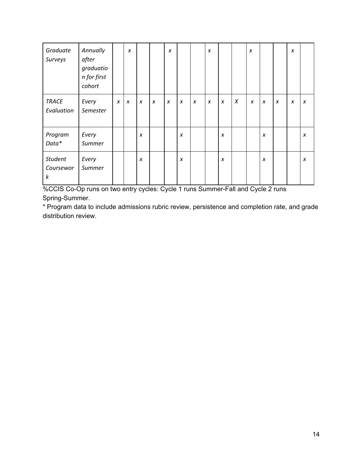| Graduate<br>Surveys              | Annually<br>after<br>graduatio<br>n for first<br>cohort |                  | $\boldsymbol{x}$ |                  |                  | $\boldsymbol{x}$ |   |                  | $\boldsymbol{x}$ |                  |        | $\boldsymbol{x}$ |                  |   | $\boldsymbol{x}$ |                  |
|----------------------------------|---------------------------------------------------------|------------------|------------------|------------------|------------------|------------------|---|------------------|------------------|------------------|--------|------------------|------------------|---|------------------|------------------|
| <b>TRACE</b><br>Evaluation       | Every<br>Semester                                       | $\boldsymbol{x}$ | $\boldsymbol{x}$ | $\boldsymbol{x}$ | $\boldsymbol{x}$ | $\boldsymbol{x}$ | X | $\boldsymbol{X}$ | $\boldsymbol{x}$ | $\boldsymbol{x}$ | $\chi$ | $\boldsymbol{x}$ | $\boldsymbol{x}$ | X | $\boldsymbol{x}$ | $\boldsymbol{x}$ |
| Program<br>Data*                 | Every<br>Summer                                         |                  |                  | $\boldsymbol{x}$ |                  |                  | X |                  |                  | $\boldsymbol{x}$ |        |                  | X                |   |                  | $\boldsymbol{x}$ |
| <b>Student</b><br>Coursewor<br>k | Every<br>Summer                                         |                  |                  | X                |                  |                  | X |                  |                  | X                |        |                  | X                |   |                  | X                |

%CCIS Co-Op runs on two entry cycles: Cycle 1 runs Summer-Fall and Cycle 2 runs Spring-Summer.

\* Program data to include admissions rubric review, persistence and completion rate, and grade distribution review.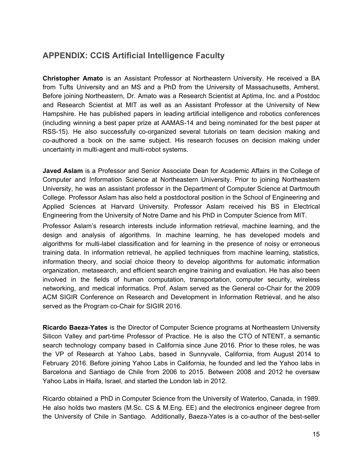### **APPENDIX: CCIS Artificial Intelligence Faculty**

**Christopher Amato** is an Assistant Professor at Northeastern University. He received a BA from Tufts University and an MS and a PhD from the University of Massachusetts, Amherst. Before joining Northeastern, Dr. Amato was a Research Scientist at Aptima, Inc. and a Postdoc and Research Scientist at MIT as well as an Assistant Professor at the University of New Hampshire. He has published papers in leading artificial intelligence and robotics conferences (including winning a best paper prize at AAMAS-14 and being nominated for the best paper at RSS-15). He also successfully co-organized several tutorials on team decision making and co-authored a book on the same subject. His research focuses on decision making under uncertainty in multi-agent and multi-robot systems.

**Javed Aslam** is a Professor and Senior Associate Dean for Academic Affairs in the College of Computer and Information Science at Northeastern University. Prior to joining Northeastern University, he was an assistant professor in the Department of Computer Science at Dartmouth College. Professor Aslam has also held a postdoctoral position in the School of Engineering and Applied Sciences at Harvard University. Professor Aslam received his BS in Electrical Engineering from the University of Notre Dame and his PhD in Computer Science from MIT.

Professor Aslam's research interests include information retrieval, machine learning, and the design and analysis of algorithms. In machine learning, he has developed models and algorithms for multi-label classification and for learning in the presence of noisy or erroneous training data. In information retrieval, he applied techniques from machine learning, statistics, information theory, and social choice theory to develop algorithms for automatic information organization, metasearch, and efficient search engine training and evaluation. He has also been involved in the fields of human computation, transportation, computer security, wireless networking, and medical informatics. Prof. Aslam served as the General co-Chair for the 2009 ACM SIGIR Conference on Research and Development in Information Retrieval, and he also served as the Program co-Chair for SIGIR 2016.

**Ricardo Baeza-Yates** is the Director of Computer Science programs at Northeastern University Silicon Valley and part-time Professor of Practice. He is also the CTO of NTENT, a semantic search technology company based in California since June 2016. Prior to these roles, he was the VP of Research at Yahoo Labs, based in Sunnyvale, California, from August 2014 to February 2016. Before joining Yahoo Labs in California, he founded and led the Yahoo labs in Barcelona and Santiago de Chile from 2006 to 2015. Between 2008 and 2012 he oversaw Yahoo Labs in Haifa, Israel, and started the London lab in 2012.

Ricardo obtained a PhD in Computer Science from the University of Waterloo, Canada, in 1989. He also holds two masters (M.Sc. CS & M.Eng. EE) and the electronics engineer degree from the University of Chile in Santiago. Additionally, Baeza-Yates is a co-author of the best-seller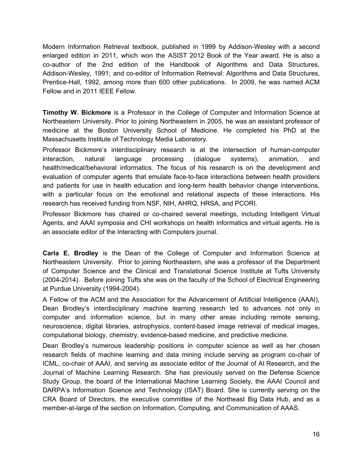Modern Information Retrieval textbook, published in 1999 by Addison-Wesley with a second enlarged edition in 2011, which won the ASIST 2012 Book of the Year award. He is also a co-author of the 2nd edition of the Handbook of Algorithms and Data Structures, Addison-Wesley, 1991; and co-editor of Information Retrieval: Algorithms and Data Structures, Prentice-Hall, 1992, among more than 600 other publications. In 2009, he was named ACM Fellow and in 2011 IEEE Fellow.

**Timothy W. Bickmore** is a Professor in the College of Computer and Information Science at Northeastern University. Prior to joining Northeastern in 2005, he was an assistant professor of medicine at the Boston University School of Medicine. He completed his PhD at the Massachusetts Institute of Technology Media Laboratory.

Professor Bickmore's interdisciplinary research is at the intersection of human-computer interaction, natural language processing (dialogue systems), animation, and health/medical/behavioral informatics. The focus of his research is on the development and evaluation of computer agents that emulate face-to-face interactions between health providers and patients for use in health education and long-term health behavior change interventions, with a particular focus on the emotional and relational aspects of these interactions. His research has received funding from NSF, NIH, AHRQ, HRSA, and PCORI.

Professor Bickmore has chaired or co-chaired several meetings, including Intelligent Virtual Agents, and AAAI symposia and CHI workshops on health informatics and virtual agents. He is an associate editor of the Interacting with Computers journal.

**Carla E. Brodley** is the Dean of the College of Computer and Information Science at Northeastern University. Prior to joining Northeastern, she was a professor of the Department of Computer Science and the Clinical and Translational Science Institute at Tufts University (2004-2014). Before joining Tufts she was on the faculty of the School of Electrical Engineering at Purdue University (1994-2004).

A Fellow of the ACM and the Association for the Advancement of Artificial Intelligence (AAAI), Dean Brodley's interdisciplinary machine learning research led to advances not only in computer and information science, but in many other areas including remote sensing, neuroscience, digital libraries, astrophysics, content-based image retrieval of medical images, computational biology, chemistry, evidence-based medicine, and predictive medicine.

Dean Brodley's numerous leadership positions in computer science as well as her chosen research fields of machine learning and data mining include serving as program co-chair of ICML, co-chair of AAAI, and serving as associate editor of the Journal of AI Research, and the Journal of Machine Learning Research. She has previously served on the Defense Science Study Group, the board of the International Machine Learning Society, the AAAI Council and DARPA's Information Science and Technology (ISAT) Board. She is currently serving on the CRA Board of Directors, the executive committee of the Northeast Big Data Hub, and as a member-at-large of the section on Information, Computing, and Communication of AAAS.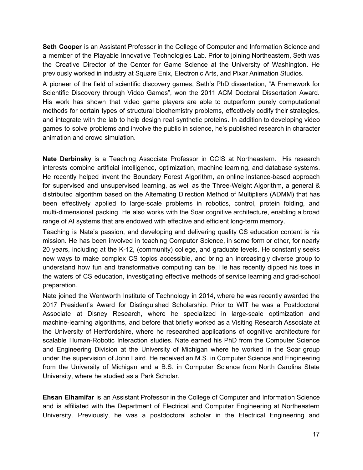**Seth Cooper** is an Assistant Professor in the College of Computer and Information Science and a member of the Playable Innovative Technologies Lab. Prior to joining Northeastern, Seth was the Creative Director of the Center for Game Science at the University of Washington. He previously worked in industry at Square Enix, Electronic Arts, and Pixar Animation Studios.

A pioneer of the field of scientific discovery games, Seth's PhD dissertation, "A Framework for Scientific Discovery through Video Games", won the 2011 ACM Doctoral Dissertation Award. His work has shown that video game players are able to outperform purely computational methods for certain types of structural biochemistry problems, effectively codify their strategies, and integrate with the lab to help design real synthetic proteins. In addition to developing video games to solve problems and involve the public in science, he's published research in character animation and crowd simulation.

**Nate Derbinsky** is a Teaching Associate Professor in CCIS at Northeastern. His research interests combine artificial intelligence, optimization, machine learning, and database systems. He recently helped invent the Boundary Forest Algorithm, an online instance-based approach for supervised and unsupervised learning, as well as the Three-Weight Algorithm, a general & distributed algorithm based on the Alternating Direction Method of Multipliers (ADMM) that has been effectively applied to large-scale problems in robotics, control, protein folding, and multi-dimensional packing. He also works with the Soar cognitive architecture, enabling a broad range of AI systems that are endowed with effective and efficient long-term memory.

Teaching is Nate's passion, and developing and delivering quality CS education content is his mission. He has been involved in teaching Computer Science, in some form or other, for nearly 20 years, including at the K-12, (community) college, and graduate levels. He constantly seeks new ways to make complex CS topics accessible, and bring an increasingly diverse group to understand how fun and transformative computing can be. He has recently dipped his toes in the waters of CS education, investigating effective methods of service learning and grad-school preparation.

Nate joined the Wentworth Institute of Technology in 2014, where he was recently awarded the 2017 President's Award for Distinguished Scholarship. Prior to WIT he was a Postdoctoral Associate at Disney Research, where he specialized in large-scale optimization and machine-learning algorithms, and before that briefly worked as a Visiting Research Associate at the University of Hertfordshire, where he researched applications of cognitive architecture for scalable Human-Robotic Interaction studies. Nate earned his PhD from the Computer Science and Engineering Division at the University of Michigan where he worked in the Soar group under the supervision of John Laird. He received an M.S. in Computer Science and Engineering from the University of Michigan and a B.S. in Computer Science from North Carolina State University, where he studied as a Park Scholar.

**Ehsan Elhamifar** is an Assistant Professor in the College of Computer and Information Science and is affiliated with the Department of Electrical and Computer Engineering at Northeastern University. Previously, he was a postdoctoral scholar in the Electrical Engineering and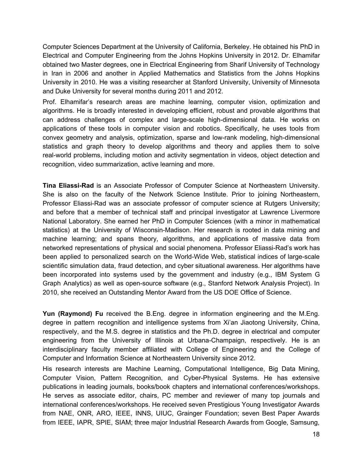Computer Sciences Department at the University of California, Berkeley. He obtained his PhD in Electrical and Computer Engineering from the Johns Hopkins University in 2012. Dr. Elhamifar obtained two Master degrees, one in Electrical Engineering from Sharif University of Technology in Iran in 2006 and another in Applied Mathematics and Statistics from the Johns Hopkins University in 2010. He was a visiting researcher at Stanford University, University of Minnesota and Duke University for several months during 2011 and 2012.

Prof. Elhamifar's research areas are machine learning, computer vision, optimization and algorithms. He is broadly interested in developing efficient, robust and provable algorithms that can address challenges of complex and large-scale high-dimensional data. He works on applications of these tools in computer vision and robotics. Specifically, he uses tools from convex geometry and analysis, optimization, sparse and low-rank modeling, high-dimensional statistics and graph theory to develop algorithms and theory and applies them to solve real-world problems, including motion and activity segmentation in videos, object detection and recognition, video summarization, active learning and more.

**Tina Eliassi-Rad** is an Associate Professor of Computer Science at Northeastern University. She is also on the faculty of the Network Science Institute. Prior to joining Northeastern, Professor Eliassi-Rad was an associate professor of computer science at Rutgers University; and before that a member of technical staff and principal investigator at Lawrence Livermore National Laboratory. She earned her PhD in Computer Sciences (with a minor in mathematical statistics) at the University of Wisconsin-Madison. Her research is rooted in data mining and machine learning; and spans theory, algorithms, and applications of massive data from networked representations of physical and social phenomena. Professor Eliassi-Rad's work has been applied to personalized search on the World-Wide Web, statistical indices of large-scale scientific simulation data, fraud detection, and cyber situational awareness. Her algorithms have been incorporated into systems used by the government and industry (e.g., IBM System G Graph Analytics) as well as open-source software (e.g., Stanford Network Analysis Project). In 2010, she received an Outstanding Mentor Award from the US DOE Office of Science.

**Yun (Raymond) Fu** received the B.Eng. degree in information engineering and the M.Eng. degree in pattern recognition and intelligence systems from Xi'an Jiaotong University, China, respectively, and the M.S. degree in statistics and the Ph.D. degree in electrical and computer engineering from the University of Illinois at Urbana-Champaign, respectively. He is an interdisciplinary faculty member affiliated with College of Engineering and the College of Computer and Information Science at Northeastern University since 2012.

His research interests are Machine Learning, Computational Intelligence, Big Data Mining, Computer Vision, Pattern Recognition, and Cyber-Physical Systems. He has extensive publications in leading journals, books/book chapters and international conferences/workshops. He serves as associate editor, chairs, PC member and reviewer of many top journals and international conferences/workshops. He received seven Prestigious Young Investigator Awards from NAE, ONR, ARO, IEEE, INNS, UIUC, Grainger Foundation; seven Best Paper Awards from IEEE, IAPR, SPIE, SIAM; three major Industrial Research Awards from Google, Samsung,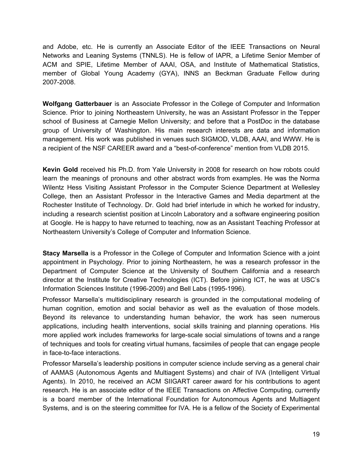and Adobe, etc. He is currently an Associate Editor of the IEEE Transactions on Neural Networks and Leaning Systems (TNNLS). He is fellow of IAPR, a Lifetime Senior Member of ACM and SPIE, Lifetime Member of AAAI, OSA, and Institute of Mathematical Statistics, member of Global Young Academy (GYA), INNS an Beckman Graduate Fellow during 2007-2008.

**Wolfgang Gatterbauer** is an Associate Professor in the College of Computer and Information Science. Prior to joining Northeastern University, he was an Assistant Professor in the Tepper school of Business at Carnegie Mellon University; and before that a PostDoc in the database group of University of Washington. His main research interests are data and information management. His work was published in venues such SIGMOD, VLDB, AAAI, and WWW. He is a recipient of the NSF CAREER award and a "best-of-conference" mention from VLDB 2015.

**Kevin Gold** received his Ph.D. from Yale University in 2008 for research on how robots could learn the meanings of pronouns and other abstract words from examples. He was the Norma Wilentz Hess Visiting Assistant Professor in the Computer Science Department at Wellesley College, then an Assistant Professor in the Interactive Games and Media department at the Rochester Institute of Technology. Dr. Gold had brief interlude in which he worked for industry, including a research scientist position at Lincoln Laboratory and a software engineering position at Google. He is happy to have returned to teaching, now as an Assistant Teaching Professor at Northeastern University's College of Computer and Information Science.

**Stacy Marsella** is a Professor in the College of Computer and Information Science with a joint appointment in Psychology. Prior to joining Northeastern, he was a research professor in the Department of Computer Science at the University of Southern California and a research director at the Institute for Creative Technologies (ICT). Before joining ICT, he was at USC's Information Sciences Institute (1996-2009) and Bell Labs (1995-1996).

Professor Marsella's multidisciplinary research is grounded in the computational modeling of human cognition, emotion and social behavior as well as the evaluation of those models. Beyond its relevance to understanding human behavior, the work has seen numerous applications, including health interventions, social skills training and planning operations. His more applied work includes frameworks for large-scale social simulations of towns and a range of techniques and tools for creating virtual humans, facsimiles of people that can engage people in face-to-face interactions.

Professor Marsella's leadership positions in computer science include serving as a general chair of AAMAS (Autonomous Agents and Multiagent Systems) and chair of IVA (Intelligent Virtual Agents). In 2010, he received an ACM SIIGART career award for his contributions to agent research. He is an associate editor of the IEEE Transactions on Affective Computing, currently is a board member of the International Foundation for Autonomous Agents and Multiagent Systems, and is on the steering committee for IVA. He is a fellow of the Society of Experimental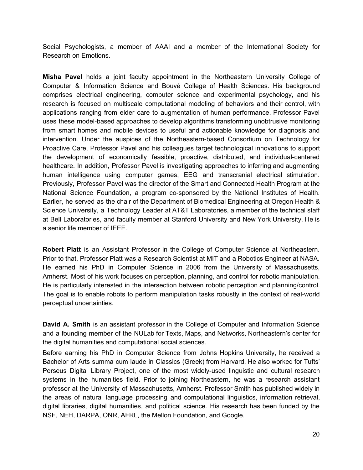Social Psychologists, a member of AAAI and a member of the International Society for Research on Emotions.

**Misha Pavel** holds a joint faculty appointment in the Northeastern University College of Computer & Information Science and Bouvé College of Health Sciences. His background comprises electrical engineering, computer science and experimental psychology, and his research is focused on multiscale computational modeling of behaviors and their control, with applications ranging from elder care to augmentation of human performance. Professor Pavel uses these model-based approaches to develop algorithms transforming unobtrusive monitoring from smart homes and mobile devices to useful and actionable knowledge for diagnosis and intervention. Under the auspices of the Northeastern-based Consortium on Technology for Proactive Care, Professor Pavel and his colleagues target technological innovations to support the development of economically feasible, proactive, distributed, and individual-centered healthcare. In addition, Professor Pavel is investigating approaches to inferring and augmenting human intelligence using computer games, EEG and transcranial electrical stimulation. Previously, Professor Pavel was the director of the Smart and Connected Health Program at the National Science Foundation, a program co-sponsored by the National Institutes of Health. Earlier, he served as the chair of the Department of Biomedical Engineering at Oregon Health & Science University, a Technology Leader at AT&T Laboratories, a member of the technical staff at Bell Laboratories, and faculty member at Stanford University and New York University. He is a senior life member of IEEE.

**Robert Platt** is an Assistant Professor in the College of Computer Science at Northeastern. Prior to that, Professor Platt was a Research Scientist at MIT and a Robotics Engineer at NASA. He earned his PhD in Computer Science in 2006 from the University of Massachusetts, Amherst. Most of his work focuses on perception, planning, and control for robotic manipulation. He is particularly interested in the intersection between robotic perception and planning/control. The goal is to enable robots to perform manipulation tasks robustly in the context of real-world perceptual uncertainties.

**David A. Smith** is an assistant professor in the College of Computer and Information Science and a founding member of the NULab for Texts, Maps, and Networks, Northeastern's center for the digital humanities and computational social sciences.

Before earning his PhD in Computer Science from Johns Hopkins University, he received a Bachelor of Arts summa cum laude in Classics (Greek) from Harvard. He also worked for Tufts' Perseus Digital Library Project, one of the most widely-used linguistic and cultural research systems in the humanities field. Prior to joining Northeastern, he was a research assistant professor at the University of Massachusetts, Amherst. Professor Smith has published widely in the areas of natural language processing and computational linguistics, information retrieval, digital libraries, digital humanities, and political science. His research has been funded by the NSF, NEH, DARPA, ONR, AFRL, the Mellon Foundation, and Google.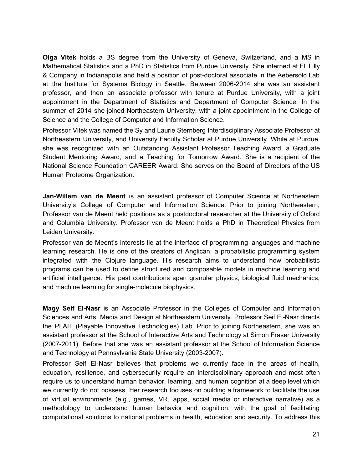**Olga Vitek** holds a BS degree from the University of Geneva, Switzerland, and a MS in Mathematical Statistics and a PhD in Statistics from Purdue University. She interned at Eli Lilly & Company in Indianapolis and held a position of post-doctoral associate in the Aebersold Lab at the Institute for Systems Biology in Seattle. Between 2006-2014 she was an assistant professor, and then an associate professor with tenure at Purdue University, with a joint appointment in the Department of Statistics and Department of Computer Science. In the summer of 2014 she joined Northeastern University, with a joint appointment in the College of Science and the College of Computer and Information Science.

Professor Vitek was named the Sy and Laurie Sternberg Interdisciplinary Associate Professor at Northeastern University, and University Faculty Scholar at Purdue University. While at Purdue, she was recognized with an Outstanding Assistant Professor Teaching Award, a Graduate Student Mentoring Award, and a Teaching for Tomorrow Award. She is a recipient of the National Science Foundation CAREER Award. She serves on the Board of Directors of the US Human Proteome Organization.

**Jan-Willem van de Meent** is an assistant professor of Computer Science at Northeastern University's College of Computer and Information Science. Prior to joining Northeastern, Professor van de Meent held positions as a postdoctoral researcher at the University of Oxford and Columbia University. Professor van de Meent holds a PhD in Theoretical Physics from Leiden University.

Professor van de Meent's interests lie at the interface of programming languages and machine learning research. He is one of the creators of Anglican, a probabilistic programming system integrated with the Clojure language. His research aims to understand how probabilistic programs can be used to define structured and composable models in machine learning and artificial intelligence. His past contributions span granular physics, biological fluid mechanics, and machine learning for single-molecule biophysics.

**Magy Seif El-Nasr** is an Associate Professor in the Colleges of Computer and Information Sciences and Arts, Media and Design at Northeastern University. Professor Seif El-Nasr directs the PLAIT (Playable Innovative Technologies) Lab. Prior to joining Northeastern, she was an assistant professor at the School of Interactive Arts and Technology at Simon Fraser University (2007-2011). Before that she was an assistant professor at the School of Information Science and Technology at Pennsylvania State University (2003-2007).

Professor Seif El-Nasr believes that problems we currently face in the areas of health, education, resilience, and cybersecurity require an interdisciplinary approach and most often require us to understand human behavior, learning, and human cognition at a deep level which we currently do not possess. Her research focuses on building a framework to facilitate the use of virtual environments (e.g., games, VR, apps, social media or interactive narrative) as a methodology to understand human behavior and cognition, with the goal of facilitating computational solutions to national problems in health, education and security. To address this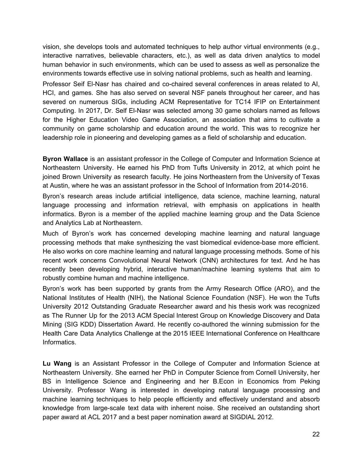vision, she develops tools and automated techniques to help author virtual environments (e.g., interactive narratives, believable characters, etc.), as well as data driven analytics to model human behavior in such environments, which can be used to assess as well as personalize the environments towards effective use in solving national problems, such as health and learning.

Professor Seif El-Nasr has chaired and co-chaired several conferences in areas related to AI, HCI, and games. She has also served on several NSF panels throughout her career, and has severed on numerous SIGs, including ACM Representative for TC14 IFIP on Entertainment Computing. In 2017, Dr. Self El-Nasr was selected among 30 game scholars named as fellows for the Higher Education Video Game Association, an association that aims to cultivate a community on game scholarship and education around the world. This was to recognize her leadership role in pioneering and developing games as a field of scholarship and education.

**Byron Wallace** is an assistant professor in the College of Computer and Information Science at Northeastern University. He earned his PhD from Tufts University in 2012, at which point he joined Brown University as research faculty. He joins Northeastern from the University of Texas at Austin, where he was an assistant professor in the School of Information from 2014-2016.

Byron's research areas include artificial intelligence, data science, machine learning, natural language processing and information retrieval, with emphasis on applications in health informatics. Byron is a member of the applied machine learning group and the Data Science and Analytics Lab at Northeastern.

Much of Byron's work has concerned developing machine learning and natural language processing methods that make synthesizing the vast biomedical evidence-base more efficient. He also works on core machine learning and natural language processing methods. Some of his recent work concerns Convolutional Neural Network (CNN) architectures for text. And he has recently been developing hybrid, interactive human/machine learning systems that aim to robustly combine human and machine intelligence.

Byron's work has been supported by grants from the Army Research Office (ARO), and the National Institutes of Health (NIH), the National Science Foundation (NSF). He won the Tufts University 2012 Outstanding Graduate Researcher award and his thesis work was recognized as The Runner Up for the 2013 ACM Special Interest Group on Knowledge Discovery and Data Mining (SIG KDD) Dissertation Award. He recently co-authored the winning submission for the Health Care Data Analytics Challenge at the 2015 IEEE International Conference on Healthcare Informatics.

**Lu Wang** is an Assistant Professor in the College of Computer and Information Science at Northeastern University. She earned her PhD in Computer Science from Cornell University, her BS in Intelligence Science and Engineering and her B.Econ in Economics from Peking University. Professor Wang is interested in developing natural language processing and machine learning techniques to help people efficiently and effectively understand and absorb knowledge from large-scale text data with inherent noise. She received an outstanding short paper award at ACL 2017 and a best paper nomination award at SIGDIAL 2012.